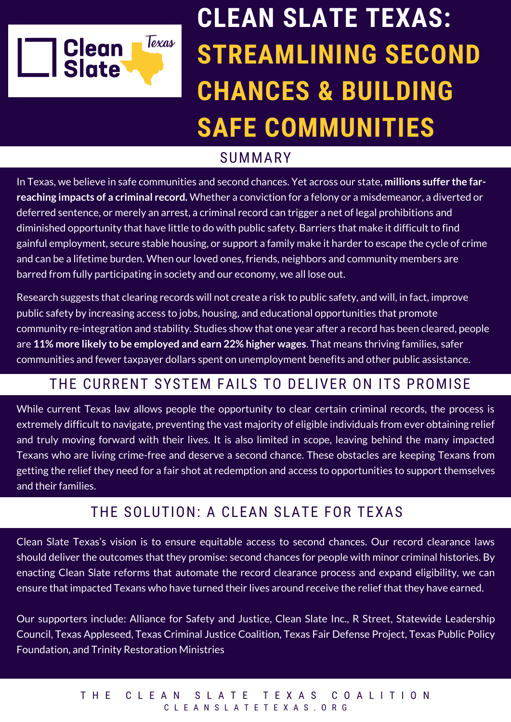

# **CLEAN SLATE TEXAS: STREAMLINING SECOND CHANCES & BUILDING SAFE COMMUNITIES**

## SUMMARY

In Texas, we believe in safe communities and second chances. Yet across our state, **millions suffer the farreaching impacts of a criminal record.** Whether a conviction for a felony or a misdemeanor, a diverted or deferred sentence, or merely an arrest, a criminal record can trigger a net of legal prohibitions and diminished opportunity that have little to do with public safety. Barriers that make it difficult to find gainful employment, secure stable housing, or support a family make it harder to escape the cycle of crime and can be a lifetime burden. When our loved ones, friends, neighbors and community members are barred from fully participating in society and our economy, we all lose out.

Research suggests that clearing records will not create a risk to public safety, and will, in fact, improve public safety by increasing access to jobs, housing, and educational opportunities that promote community re-integration and stability. Studies show that one year after a record has been cleared, people are **11% more likely to be employed and earn 22% higher wages**. That means thriving families, safer communities and fewer taxpayer dollars spent on unemployment benefits and other public assistance.

# THE CURRENT SYSTEM FAILS TO DELIVER ON ITS PROMISE

While current Texas law allows people the opportunity to clear certain criminal records, the process is extremely difficult to navigate, preventing the vast majority of eligible individuals from ever obtaining relief and truly moving forward with their lives. It is also limited in scope, leaving behind the many impacted Texans who are living crime-free and deserve a second chance. These obstacles are keeping Texans from getting the relief they need for a fair shot at redemption and access to opportunities to support themselves and their families.

## THE SOLUTION: A CLEAN SLATE FOR TEXAS

Clean Slate Texas's vision is to ensure equitable access to second chances. Our record clearance laws should deliver the outcomes that they promise: second chances for people with minor criminal histories. By enacting Clean Slate reforms that automate the record clearance process and expand eligibility, we can ensure that impacted Texans who have turned their lives around receive the relief that they have earned.

Our supporters include: Alliance for Safety and Justice, Clean Slate Inc., R Street, Statewide Leadership Council, Texas Appleseed, Texas Criminal Justice Coalition, Texas Fair Defense Project, Texas Public Policy Foundation, and Trinity Restoration Ministries